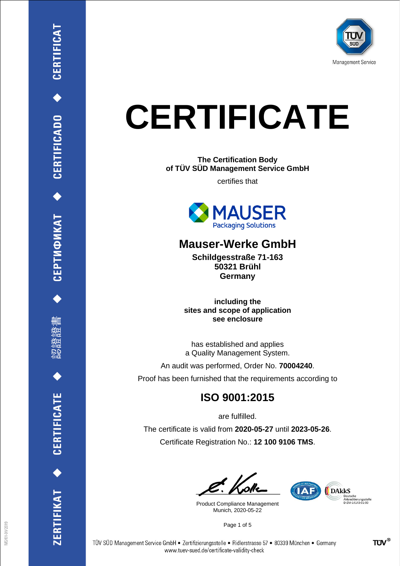

# **CERTIFICATE**

**The Certification Body of TÜV SÜD Management Service GmbH**

certifies that



# **Mauser-Werke GmbH**

**Schildgesstraße 71-163 50321 Brühl Germany**

**including the sites and scope of application see enclosure**

has established and applies a Quality Management System.

An audit was performed, Order No. **70004240**.

Proof has been furnished that the requirements according to

# **ISO 9001:2015**

are fulfilled.

The certificate is valid from **2020-05-27** until **2023-05-26**. Certificate Registration No.: **12 100 9106 TMS**.

Product Compliance Management Munich, 2020-05-22

Page 1 of 5



CERTIFICAT

CEPTИФИКАТ ◆ CERTIFICADO ◆

刪

**CERTIFICATE** 

ERTIFIKAT<sup>+</sup>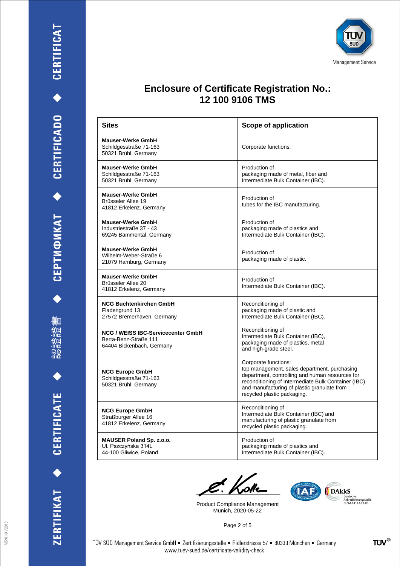刪

認證證

ZERTIFIKAT ◆ CERTIFICATE



#### **Enclosure of Certificate Registration No.: 12 100 9106 TMS**

| <b>Sites</b>                                                                                    | <b>Scope of application</b>                                                                                                                                                                                                                                  |
|-------------------------------------------------------------------------------------------------|--------------------------------------------------------------------------------------------------------------------------------------------------------------------------------------------------------------------------------------------------------------|
| <b>Mauser-Werke GmbH</b><br>Schildgesstraße 71-163<br>50321 Brühl, Germany                      | Corporate functions.                                                                                                                                                                                                                                         |
| <b>Mauser-Werke GmbH</b><br>Schildgesstraße 71-163<br>50321 Brühl, Germany                      | Production of<br>packaging made of metal, fiber and<br>Intermediate Bulk Container (IBC).                                                                                                                                                                    |
| <b>Mauser-Werke GmbH</b><br>Brüsseler Allee 19<br>41812 Erkelenz, Germany                       | Production of<br>tubes for the IBC manufacturing.                                                                                                                                                                                                            |
| <b>Mauser-Werke GmbH</b><br>Industriestraße 37 - 43<br>69245 Bammental, Germany                 | Production of<br>packaging made of plastics and<br>Intermediate Bulk Container (IBC).                                                                                                                                                                        |
| <b>Mauser-Werke GmbH</b><br>Wilhelm-Weber-Straße 6<br>21079 Hamburg, Germany                    | Production of<br>packaging made of plastic.                                                                                                                                                                                                                  |
| <b>Mauser-Werke GmbH</b><br>Brüsseler Allee 20<br>41812 Erkelenz, Germany                       | Production of<br>Intermediate Bulk Container (IBC).                                                                                                                                                                                                          |
| <b>NCG Buchtenkirchen GmbH</b><br>Fladengrund 13<br>27572 Bremerhaven, Germany                  | Reconditioning of<br>packaging made of plastic and<br>Intermediate Bulk Container (IBC).                                                                                                                                                                     |
| <b>NCG / WEISS IBC-Servicecenter GmbH</b><br>Berta-Benz-Straße 111<br>64404 Bickenbach, Germany | Reconditioning of<br>Intermediate Bulk Container (IBC),<br>packaging made of plastics, metal<br>and high-grade steel.                                                                                                                                        |
| <b>NCG Europe GmbH</b><br>Schildgesstraße 71-163<br>50321 Brühl, Germany                        | Corporate functions:<br>top management, sales department, purchasing<br>department, controlling and human resources for<br>reconditioning of Intermediate Bulk Container (IBC)<br>and manufacturing of plastic granulate from<br>recycled plastic packaging. |
| <b>NCG Europe GmbH</b><br>Straßburger Allee 16<br>41812 Erkelenz, Germany                       | Reconditioning of<br>Intermediate Bulk Container (IBC) and<br>manufacturing of plastic granulate from<br>recycled plastic packaging.                                                                                                                         |
| <b>MAUSER Poland Sp. z.o.o.</b><br>Ul. Pszczyńska 314L<br>44-100 Gliwice, Poland                | Production of<br>packaging made of plastics and<br>Intermediate Bulk Container (IBC).                                                                                                                                                                        |

C. Koke

Product Compliance Management Munich, 2020-05-22



Page 2 of 5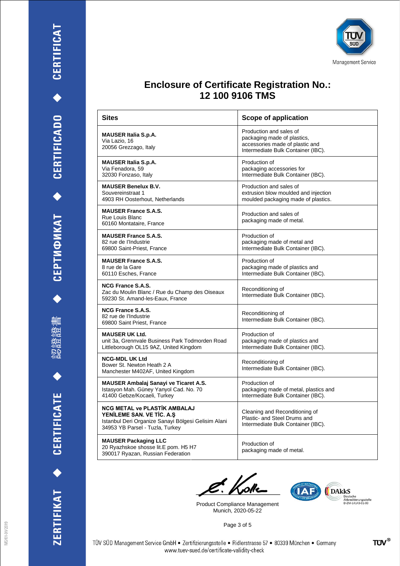認證證書

 $\blacklozenge$ 

ZERTIFIKAT ◆ CERTIFICATE



# **Enclosure of Certificate Registration No.: 12 100 9106 TMS**

| <b>Sites</b>                                                                                                                                                | Scope of application                                                                                                            |
|-------------------------------------------------------------------------------------------------------------------------------------------------------------|---------------------------------------------------------------------------------------------------------------------------------|
| <b>MAUSER Italia S.p.A.</b><br>Via Lazio, 16<br>20056 Grezzago, Italy                                                                                       | Production and sales of<br>packaging made of plastics,<br>accessories made of plastic and<br>Intermediate Bulk Container (IBC). |
| <b>MAUSER Italia S.p.A.</b><br>Via Fenadora, 59<br>32030 Fonzaso, Italy                                                                                     | Production of<br>packaging accessories for<br>Intermediate Bulk Container (IBC).                                                |
| <b>MAUSER Benelux B.V.</b><br>Souvereinstraat 1<br>4903 RH Oosterhout, Netherlands                                                                          | Production and sales of<br>extrusion blow moulded and injection<br>moulded packaging made of plastics.                          |
| <b>MAUSER France S.A.S.</b><br>Rue Louis Blanc<br>60160 Montataire, France                                                                                  | Production and sales of<br>packaging made of metal.                                                                             |
| <b>MAUSER France S.A.S.</b><br>82 rue de l'Industrie<br>69800 Saint-Priest, France                                                                          | Production of<br>packaging made of metal and<br>Intermediate Bulk Container (IBC).                                              |
| <b>MAUSER France S.A.S.</b><br>8 rue de la Gare<br>60110 Esches, France                                                                                     | Production of<br>packaging made of plastics and<br>Intermediate Bulk Container (IBC).                                           |
| <b>NCG France S.A.S.</b><br>Zac du Moulin Blanc / Rue du Champ des Oiseaux<br>59230 St. Amand-les-Eaux, France                                              | Reconditioning of<br>Intermediate Bulk Container (IBC).                                                                         |
| <b>NCG France S.A.S.</b><br>82 rue de l'Industrie<br>69800 Saint Priest, France                                                                             | Reconditioning of<br>Intermediate Bulk Container (IBC).                                                                         |
| <b>MAUSER UK Ltd.</b><br>unit 3a, Grennvale Business Park Todmorden Road<br>Littleborough OL15 9AZ, United Kingdom                                          | Production of<br>packaging made of plastics and<br>Intermediate Bulk Container (IBC).                                           |
| <b>NCG-MDL UK Ltd</b><br>Bower St. Newton Heath 2 A<br>Manchester M402AF, United Kingdom                                                                    | Reconditioning of<br>Intermediate Bulk Container (IBC).                                                                         |
| <b>MAUSER Ambalaj Sanayi ve Ticaret A.S.</b><br>Istasyon Mah. Güney Yanyol Cad. No. 70<br>41400 Gebze/Kocaeli, Turkey                                       | Production of<br>packaging made of metal, plastics and<br>Intermediate Bulk Container (IBC).                                    |
| <b>NCG METAL ve PLASTİK AMBALAJ</b><br>YENILEME SAN. VE TIC. A.S.<br>Istanbul Deri Organize Sanayi Bölgesi Gelisim Alani<br>34953 YB Parsel - Tuzla, Turkey | Cleaning and Reconditioning of<br>Plastic- and Steel Drums and<br>Intermediate Bulk Container (IBC).                            |
| <b>MAUSER Packaging LLC</b><br>20 Ryazhskoe shosse lit.E pom. H5 H7<br>390017 Ryazan, Russian Federation                                                    | Production of<br>packaging made of metal.                                                                                       |

C<sup>k</sup>. Kolle

Product Compliance Management Munich, 2020-05-22

Page 3 of 5



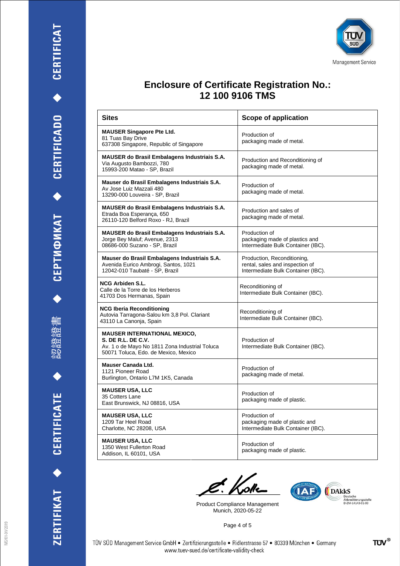

 $\blacklozenge$ 





# **Enclosure of Certificate Registration No.: 12 100 9106 TMS**

| Sites                                                                                                                                               | <b>Scope of application</b>                                                                          |
|-----------------------------------------------------------------------------------------------------------------------------------------------------|------------------------------------------------------------------------------------------------------|
| <b>MAUSER Singapore Pte Ltd.</b><br>81 Tuas Bay Drive<br>637308 Singapore, Republic of Singapore                                                    | Production of<br>packaging made of metal.                                                            |
| <b>MAUSER do Brasil Embalagens Industriais S.A.</b><br>Via Augusto Bambozzi, 780<br>15993-200 Matao - SP, Brazil                                    | Production and Reconditioning of<br>packaging made of metal.                                         |
| Mauser do Brasil Embalagens Industriais S.A.<br>Av Jose Luiz Mazzali 480<br>13290-000 Louveira - SP, Brazil                                         | Production of<br>packaging made of metal.                                                            |
| <b>MAUSER do Brasil Embalagens Industriais S.A.</b><br>Etrada Boa Esperança, 650<br>26110-120 Belford Roxo - RJ, Brazil                             | Production and sales of<br>packaging made of metal.                                                  |
| <b>MAUSER do Brasil Embalagens Industriais S.A.</b><br>Jorge Bey Maluf; Avenue, 2313<br>08686-000 Suzano - SP, Brazil                               | Production of<br>packaging made of plastics and<br>Intermediate Bulk Container (IBC).                |
| Mauser do Brasil Embalagens Industriais S.A.<br>Avenida Eurico Ambrogi, Santos, 1021<br>12042-010 Taubaté - SP, Brazil                              | Production, Reconditioning,<br>rental, sales and inspection of<br>Intermediate Bulk Container (IBC). |
| <b>NCG Arbiden S.L.</b><br>Calle de la Torre de los Herberos<br>41703 Dos Hermanas, Spain                                                           | Reconditioning of<br>Intermediate Bulk Container (IBC).                                              |
| <b>NCG Iberia Reconditioning</b><br>Autovia Tarragona-Salou km 3,8 Pol. Clariant<br>43110 La Canonja, Spain                                         | Reconditioning of<br>Intermediate Bulk Container (IBC).                                              |
| <b>MAUSER INTERNATIONAL MEXICO,</b><br>S. DE R.L. DE C.V.<br>Av. 1 o de Mayo No 1811 Zona Industrial Toluca<br>50071 Toluca, Edo. de Mexico, Mexico | Production of<br>Intermediate Bulk Container (IBC).                                                  |
| Mauser Canada Ltd.<br>1121 Pioneer Road<br>Burlington, Ontario L7M 1K5, Canada                                                                      | Production of<br>packaging made of metal.                                                            |
| <b>MAUSER USA, LLC</b><br>35 Cotters Lane<br>East Brunswick, NJ 08816, USA                                                                          | Production of<br>packaging made of plastic.                                                          |
| <b>MAUSER USA, LLC</b><br>1209 Tar Heel Road<br>Charlotte, NC 28208, USA                                                                            | Production of<br>packaging made of plastic and<br>Intermediate Bulk Container (IBC).                 |
| <b>MAUSER USA, LLC</b><br>1350 West Fullerton Road<br>Addison, IL 60101, USA                                                                        | Production of<br>packaging made of plastic.                                                          |

C<sup>k</sup>. Kolle

Product Compliance Management Munich, 2020-05-22



Page 4 of 5